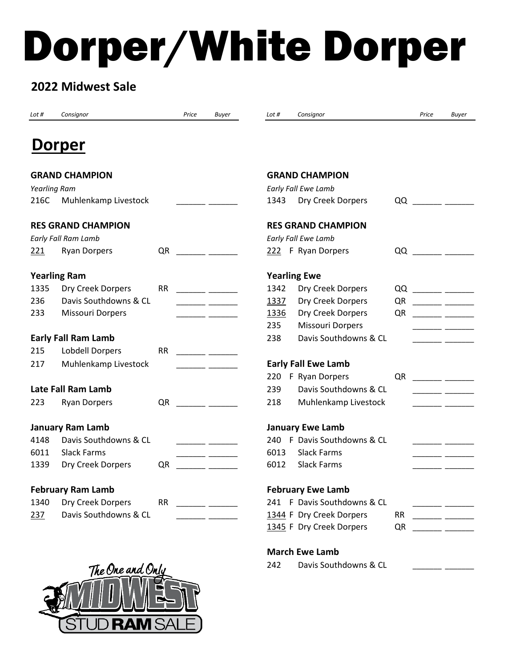# Dorper/White Dorper

## **2022 Midwest Sale**

| Lot #                     | Consignor                  | Price     | <b>Buyer</b>                                                                                                                                                                                                                                                                                                                                                                                                                                                               | Consignor<br>Lot #             |           | Price | <b>Buyer</b>                                                                                                          |
|---------------------------|----------------------------|-----------|----------------------------------------------------------------------------------------------------------------------------------------------------------------------------------------------------------------------------------------------------------------------------------------------------------------------------------------------------------------------------------------------------------------------------------------------------------------------------|--------------------------------|-----------|-------|-----------------------------------------------------------------------------------------------------------------------|
|                           | Dorper                     |           |                                                                                                                                                                                                                                                                                                                                                                                                                                                                            |                                |           |       |                                                                                                                       |
|                           | <b>GRAND CHAMPION</b>      |           |                                                                                                                                                                                                                                                                                                                                                                                                                                                                            | <b>GRAND CHAMPION</b>          |           |       |                                                                                                                       |
| <b>Yearling Ram</b>       |                            |           |                                                                                                                                                                                                                                                                                                                                                                                                                                                                            | Early Fall Ewe Lamb            |           |       |                                                                                                                       |
| 216C                      | Muhlenkamp Livestock       |           | <u>and and</u>                                                                                                                                                                                                                                                                                                                                                                                                                                                             | Dry Creek Dorpers<br>1343      |           |       |                                                                                                                       |
| <b>RES GRAND CHAMPION</b> |                            |           | <b>RES GRAND CHAMPION</b>                                                                                                                                                                                                                                                                                                                                                                                                                                                  |                                |           |       |                                                                                                                       |
|                           | Early Fall Ram Lamb        |           |                                                                                                                                                                                                                                                                                                                                                                                                                                                                            | Early Fall Ewe Lamb            |           |       |                                                                                                                       |
| 221                       | <b>Ryan Dorpers</b>        | QR        |                                                                                                                                                                                                                                                                                                                                                                                                                                                                            | 222 F Ryan Dorpers             |           |       |                                                                                                                       |
| <b>Yearling Ram</b>       |                            |           | <b>Yearling Ewe</b>                                                                                                                                                                                                                                                                                                                                                                                                                                                        |                                |           |       |                                                                                                                       |
| 1335                      | Dry Creek Dorpers          | <b>RR</b> | <u> 1999 - Johann John Stone, mars et al.</u>                                                                                                                                                                                                                                                                                                                                                                                                                              | 1342<br>Dry Creek Dorpers      |           |       |                                                                                                                       |
| 236                       | Davis Southdowns & CL      |           |                                                                                                                                                                                                                                                                                                                                                                                                                                                                            | 1337<br>Dry Creek Dorpers      | QR        |       | <u> 1999 - John Harry Harry Harry Harry Harry Harry Harry Harry Harry Harry Harry Harry Harry Harry Harry Harry H</u> |
| 233                       | <b>Missouri Dorpers</b>    |           | $\frac{1}{2} \left( \frac{1}{2} \right) \left( \frac{1}{2} \right) \left( \frac{1}{2} \right) \left( \frac{1}{2} \right) \left( \frac{1}{2} \right) \left( \frac{1}{2} \right) \left( \frac{1}{2} \right) \left( \frac{1}{2} \right) \left( \frac{1}{2} \right) \left( \frac{1}{2} \right) \left( \frac{1}{2} \right) \left( \frac{1}{2} \right) \left( \frac{1}{2} \right) \left( \frac{1}{2} \right) \left( \frac{1}{2} \right) \left( \frac{1}{2} \right) \left( \frac$ | Dry Creek Dorpers<br>1336      | QR        |       |                                                                                                                       |
|                           |                            |           |                                                                                                                                                                                                                                                                                                                                                                                                                                                                            | <b>Missouri Dorpers</b><br>235 |           |       |                                                                                                                       |
|                           | <b>Early Fall Ram Lamb</b> |           |                                                                                                                                                                                                                                                                                                                                                                                                                                                                            | Davis Southdowns & CL<br>238   |           |       |                                                                                                                       |
| 215                       | <b>Lobdell Dorpers</b>     | <b>RR</b> | <u> 1990 - John Harry John Harry Harry Harry Harry Harry Harry Harry Harry Harry Harry Harry Harry Harry Harry Har</u>                                                                                                                                                                                                                                                                                                                                                     |                                |           |       |                                                                                                                       |
| 217                       | Muhlenkamp Livestock       |           |                                                                                                                                                                                                                                                                                                                                                                                                                                                                            | <b>Early Fall Ewe Lamb</b>     |           |       |                                                                                                                       |
|                           |                            |           |                                                                                                                                                                                                                                                                                                                                                                                                                                                                            | 220 F Ryan Dorpers             | QR        |       |                                                                                                                       |
|                           | Late Fall Ram Lamb         |           |                                                                                                                                                                                                                                                                                                                                                                                                                                                                            | Davis Southdowns & CL<br>239   |           |       |                                                                                                                       |
| 223                       | <b>Ryan Dorpers</b>        | QR        | <u> 1999 - Johann John Harry Harry Harry Harry Harry Harry Harry Harry Harry Harry Harry Harry Harry Harry Harry</u>                                                                                                                                                                                                                                                                                                                                                       | 218<br>Muhlenkamp Livestock    |           |       | <u> 1999 - Andrea Sta</u>                                                                                             |
|                           |                            |           |                                                                                                                                                                                                                                                                                                                                                                                                                                                                            |                                |           |       |                                                                                                                       |
| <b>January Ram Lamb</b>   |                            |           | <b>January Ewe Lamb</b>                                                                                                                                                                                                                                                                                                                                                                                                                                                    |                                |           |       |                                                                                                                       |
| 4148                      | Davis Southdowns & CL      |           |                                                                                                                                                                                                                                                                                                                                                                                                                                                                            | 240 F Davis Southdowns & CL    |           |       |                                                                                                                       |
| 6011                      | <b>Slack Farms</b>         |           | <u> 1999 - Jan Jan Jan</u>                                                                                                                                                                                                                                                                                                                                                                                                                                                 | <b>Slack Farms</b><br>6013     |           |       | <u>and a state</u>                                                                                                    |
| 1339                      | Dry Creek Dorpers          | QR        |                                                                                                                                                                                                                                                                                                                                                                                                                                                                            | <b>Slack Farms</b><br>6012     |           |       |                                                                                                                       |
|                           | <b>February Ram Lamb</b>   |           |                                                                                                                                                                                                                                                                                                                                                                                                                                                                            | <b>February Ewe Lamb</b>       |           |       |                                                                                                                       |
| 1340                      | Dry Creek Dorpers          | <b>RR</b> |                                                                                                                                                                                                                                                                                                                                                                                                                                                                            | 241 F Davis Southdowns & CL    |           |       |                                                                                                                       |
| 237                       | Davis Southdowns & CL      |           |                                                                                                                                                                                                                                                                                                                                                                                                                                                                            | 1344 F Dry Creek Dorpers       | <b>RR</b> |       |                                                                                                                       |
|                           |                            |           |                                                                                                                                                                                                                                                                                                                                                                                                                                                                            | 1345 F Dry Creek Dorpers       | QR        |       |                                                                                                                       |

**March Ewe Lamb**

242 Davis Southdowns & CL